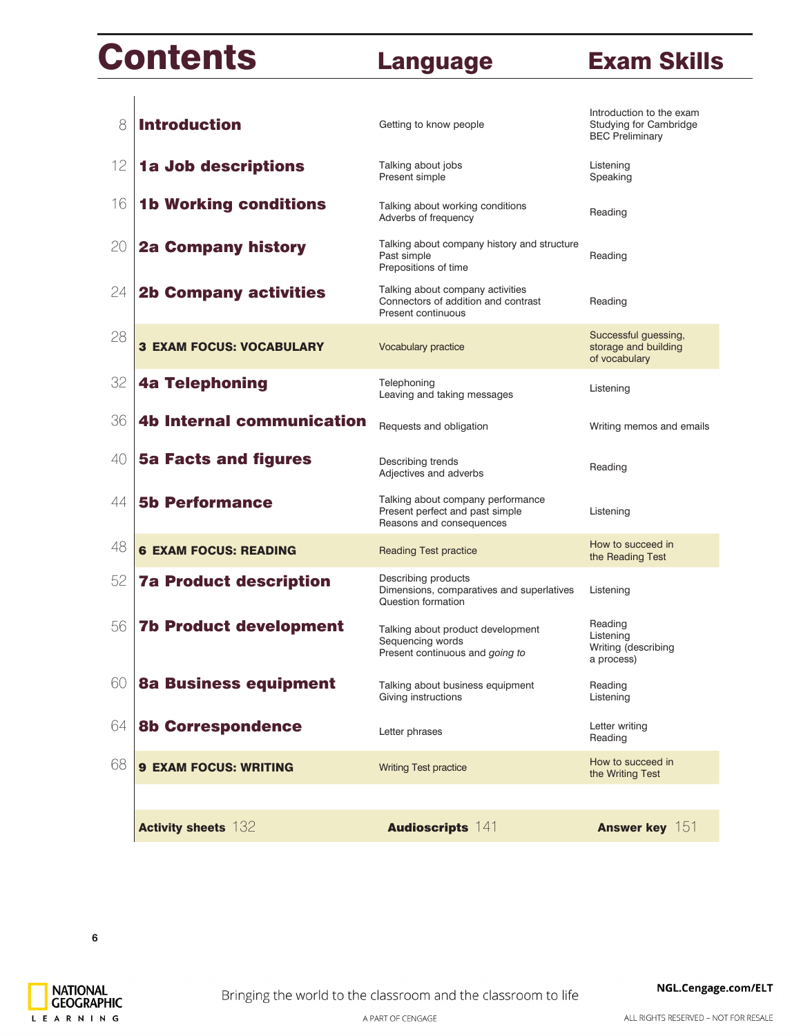# **Contents**

### Language **Exam Skills**

| 8  | <b>Introduction</b>              | Getting to know people                                                                           | Introduction to the exam<br>Studying for Cambridge<br><b>BEC Preliminary</b> |
|----|----------------------------------|--------------------------------------------------------------------------------------------------|------------------------------------------------------------------------------|
| 12 | 1a Job descriptions              | Talking about jobs<br>Present simple                                                             | Listening<br>Speaking                                                        |
| 16 | <b>1b Working conditions</b>     | Talking about working conditions<br>Adverbs of frequency                                         | Reading                                                                      |
| 20 | <b>2a Company history</b>        | Talking about company history and structure<br>Past simple<br>Prepositions of time               | Reading                                                                      |
| 24 | <b>2b Company activities</b>     | Talking about company activities<br>Connectors of addition and contrast<br>Present continuous    | Reading                                                                      |
| 28 | <b>3 EXAM FOCUS: VOCABULARY</b>  | Vocabulary practice                                                                              | Successful guessing,<br>storage and building<br>of vocabulary                |
| 32 | <b>4a Telephoning</b>            | Telephoning<br>Leaving and taking messages                                                       | Listening                                                                    |
| 36 | <b>4b Internal communication</b> | Requests and obligation                                                                          | Writing memos and emails                                                     |
| 40 | <b>5a Facts and figures</b>      | Describing trends<br>Adjectives and adverbs                                                      | Reading                                                                      |
| 44 | <b>5b Performance</b>            | Talking about company performance<br>Present perfect and past simple<br>Reasons and consequences | Listening                                                                    |
| 48 | <b>6 EXAM FOCUS: READING</b>     | <b>Reading Test practice</b>                                                                     | How to succeed in<br>the Reading Test                                        |
| 52 | <b>7a Product description</b>    | Describing products<br>Dimensions, comparatives and superlatives<br>Question formation           | Listening                                                                    |
| 56 | <b>7b Product development</b>    | Talking about product development<br>Sequencing words<br>Present continuous and going to         | Reading<br>Listening<br>Writing (describing<br>a process)                    |
| 60 | <b>8a Business equipment</b>     | Talking about business equipment<br>Giving instructions                                          | Reading<br>Listening                                                         |
| 64 | <b>8b Correspondence</b>         | Letter phrases                                                                                   | Letter writing<br>Reading                                                    |
| 68 | <b>9 EXAM FOCUS: WRITING</b>     | <b>Writing Test practice</b>                                                                     | How to succeed in<br>the Writing Test                                        |
|    |                                  |                                                                                                  |                                                                              |
|    | <b>Activity sheets 132</b>       | <b>Audioscripts 141</b>                                                                          | <b>Answer key</b> 151                                                        |

L E A R N I N G

ALL RIGHTS RESERVED - NOT FOR RESALE